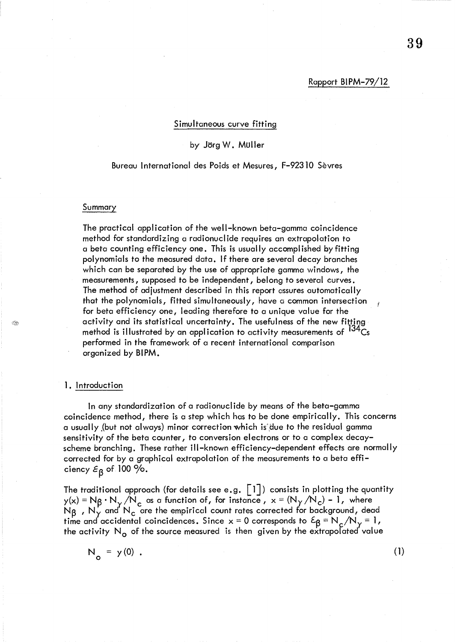#### Simultaneous curve fitting

# by Jörg W. Müller

## Bureau International des Poids et Mesures, F-92310 Sevres

#### Summary

The practical application of the well-known beta-gamma coincidence method for standardizing a radionucl ide requires an extrapolation to a beta counting efficiency one. This is usually accomplished by fitting polynomials to the measured data. If there are several decay branches which can be separated by the use of appropriate gamma windows, the measurements, supposed to be independent, belong to several curves. The method of adjustment described in this report assures automatically that the polynomials, fitted simultaneously, have a common intersection for beta efficiency one, leading therefore to a unique value for the activity and its statistical uncertainty. The usefulness of the new fitting method is illustrated by an application to activity measurements of  $134\text{Cs}$ performed in the framework of a recent international comparison organized by BIPM.

## 1. Introduction

In any standardization of a radionuclide by means of the beta-gamma coincidence method, there is a step which has to be done empirically. This concerns a usually (but not always) minor correction which is due to the residual gamma sensitivity of the beta counter, to conversion electrons or to a complex decayscheme branching. These rather ill-known efficiency-dependent effects are normally corrected for by a graphical extrapolation of the measurements to a beta efficiency  $\varepsilon_{\mathsf{B}}$  of 100  $\%$ .

The traditional approach (for details see e.g.  $\lceil 1 \rceil$ ) consists in plotting the quantity  $y(x) = N_\beta \cdot N_\gamma / N_c$  as a function of, for instance,  $x = (N_\gamma / N_c) - 1$ , where  ${\sf N}_\beta$  ,  ${\sf N}_\gamma^{\prime}$  and  ${\sf N}_{\sf c}$  are the empirical count rates corrected for background, dead time and accidental coincidences. Since  $x = 0$  corresponds to  $\epsilon_{\beta} = N_c / N_y = 1$ , the activity  $N_{\Omega}$  of the source measured is then given by the extrapolated value

$$
N_o = y(0) .
$$

(1)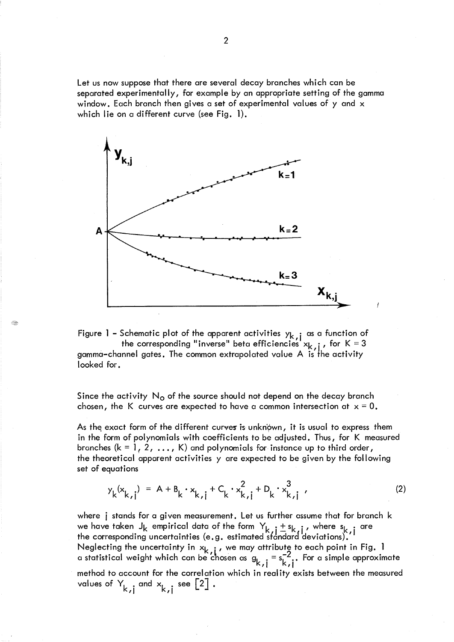Let us now suppose that there are several decay branches which can be separated experimentally, for example by an appropriate setting of the gamma window. Each branch then gives a set of experimental values of y and x which lie on a different curve (see Fig. 1).



Figure 1 – Schematic plot of the apparent activities  ${\sf y}_{{\sf k}, {\sf i}}$  as a function of the corresponding "inverse" beta efficiencies  $x_{k,j}$  , for K = 3 gamma-channel gates. The common extrapolated value A is the activity looked for.

Since the activity  $N<sub>o</sub>$  of the source should not depend on the decay branch chosen, the K curves are expected to have a common intersection at  $x = 0$ .

As the exact form of the different curves is unknown, it is usual to express them in the form of polynomials with coefficients to be adjusted. Thus, for K measured branches ( $k = 1, 2, ..., K$ ) and polynomials for instance up to third order, the theoretical apparent activities y are expected to be given by the following set of equations

$$
y_{k}(x_{k,j}) = A + B_{k} \cdot x_{k,j} + C_{k} \cdot x_{k,j}^{2} + D_{k} \cdot x_{k,j}^{3}
$$
 (2)

where j stands for a given measurement. Let us further assume that for branch k we have taken  $J_k$  empirical data of the form  $Y_{k,j} + s_{k,j}$ , where  $s_{k,j}$  are the corresponding uncertainties (e.g. estimated sfandard deviations).  $^{\prime\prime}$ Neglecting the uncertainty in  $x_{k+1}$  , we may attribute to each point in Fig. 1 a statistical weight which can be chosen as  $g_{k, j} = s_{k, j}^{-2}$ . For a simple approximate method to account for the correlation which in real ity exists between the measured values of  $Y_{k,j}$  and  $X_{k,j}$  see  $[2]$  .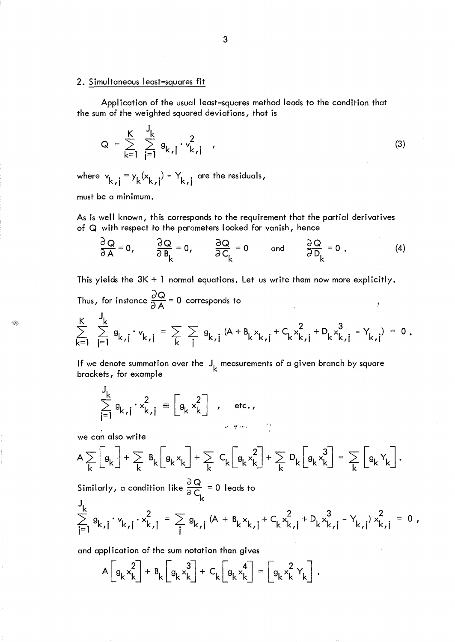## 2. Simultaneous least-squares fit

Application of the usual least-squares method leads to the condition that the sum of the weighted squared deviations, that is

$$
Q = \sum_{k=1}^{K} \sum_{j=1}^{J_k} g_{k,j} \cdot v_{k,j}^2
$$
 (3)

where  $v_{k,i} = v_k(x_{k,i}) - Y_{k,i}$  are the residuals, ,1 " "

must be a minimum.

As is well known, this corresponds to the requirement that the partial derivatives of Q with respect to the parameters looked for vanish, hence

$$
\frac{\partial Q}{\partial A} = 0, \qquad \frac{\partial Q}{\partial B_k} = 0, \qquad \frac{\partial Q}{\partial C_k} = 0 \qquad \text{and} \qquad \frac{\partial Q}{\partial D_k} = 0.
$$
 (4)

This yields the 3K + 1 normal equations. Let us write them now more explicitly.  $\sim$ 

Thus, for instance 
$$
\frac{\partial Q}{\partial A} = 0
$$
 corresponds to  
\n
$$
\sum_{k=1}^{K} \sum_{j=1}^{J_k} g_{k,j} \cdot v_{k,j} = \sum_{k} \sum_{j} g_{k,j} (A + B_k x_{k,j} + C_k x_{k,j}^2 + D_k x_{k,j}^3 - Y_{k,j}) = 0.
$$

If we denote summation over the J, measurements of a given branch by square<br>haseleste for currels brackets, for example

$$
\sum_{j=1}^{J_k} g_{k,j} \cdot x_{k,j}^2 = \begin{bmatrix} g_k x_k^2 \end{bmatrix}, \text{ etc.}
$$

we can also write

J

Q,

$$
A \sum_{k} \left[ g_{k} \right] + \sum_{k} B_{k} \left[ g_{k} x_{k} \right] + \sum_{k} C_{k} \left[ g_{k} x_{k}^{2} \right] + \sum_{k} D_{k} \left[ g_{k} x_{k}^{3} \right] = \sum_{k} \left[ g_{k} Y_{k} \right].
$$
  
\nSimilarly, a condition like  $\frac{\partial Q}{\partial C_{k}} = 0$  leads to  
\n
$$
\sum_{i=1}^{k} g_{k,i} \cdot v_{k,i} \cdot x_{k,i}^{2} = \sum_{i} g_{k,i} (A + B_{k} x_{k,i} + C_{k} x_{k,i}^{2} + D_{k} x_{k,i}^{3} - Y_{k,i}) x_{k,i}^{2} = 0,
$$

and application of the sum notation then gives

$$
A\left[g_k x_k^2\right] + B_k \left[g_k x_k^3\right] + C_k \left[g_k x_k^4\right] = \left[g_k x_k^2 Y_k\right].
$$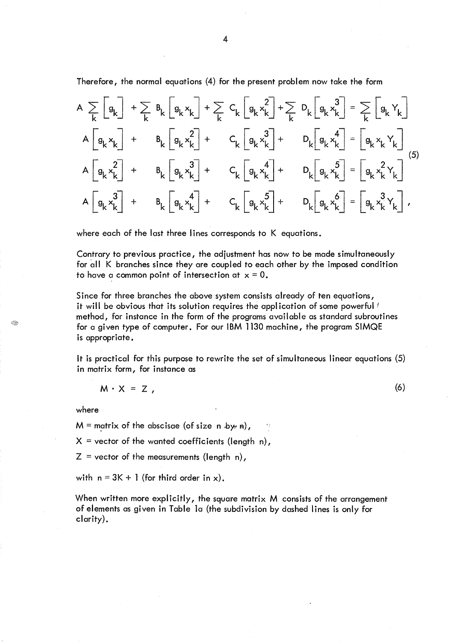Therefore, the normal equations (4) for the present problem now take the form

$$
A \sum_{k} \begin{bmatrix} g_{k} \end{bmatrix} + \sum_{k} B_{k} \begin{bmatrix} g_{k}x_{k} \end{bmatrix} + \sum_{k} C_{k} \begin{bmatrix} g_{k}x_{k} \end{bmatrix} + \sum_{k} D_{k} \begin{bmatrix} g_{k}x_{k} \end{bmatrix} = \sum_{k} \begin{bmatrix} g_{k}y_{k} \end{bmatrix}
$$
  
\n
$$
A \begin{bmatrix} g_{k}x_{k} \end{bmatrix} + B_{k} \begin{bmatrix} g_{k}x_{k}^{2} \end{bmatrix} + C_{k} \begin{bmatrix} g_{k}x_{k}^{3} \end{bmatrix} + D_{k} \begin{bmatrix} g_{k}x_{k}^{4} \end{bmatrix} = \begin{bmatrix} g_{k}x_{k}y_{k} \end{bmatrix}
$$
  
\n
$$
A \begin{bmatrix} g_{k}x_{k}^{2} \end{bmatrix} + B_{k} \begin{bmatrix} g_{k}x_{k}^{3} \end{bmatrix} + C_{k} \begin{bmatrix} g_{k}x_{k}^{4} \end{bmatrix} + D_{k} \begin{bmatrix} g_{k}x_{k}^{5} \end{bmatrix} = \begin{bmatrix} g_{k}x_{k}y_{k} \end{bmatrix}
$$
  
\n
$$
A \begin{bmatrix} g_{k}x_{k}^{3} \end{bmatrix} + B_{k} \begin{bmatrix} g_{k}x_{k}^{4} \end{bmatrix} + C_{k} \begin{bmatrix} g_{k}x_{k}^{5} \end{bmatrix} + D_{k} \begin{bmatrix} g_{k}x_{k}^{6} \end{bmatrix} = \begin{bmatrix} g_{k}x_{k}^{3}y_{k} \end{bmatrix}
$$
 (5)

where each of the last three lines corresponds to K equations.

Contrary to previous practice, the adjustment has now to be made simultaneously for all K branches since they are coupled to each other by the imposed condition to have a common point of intersection at  $x = 0$ .

Since for three branches the above system consists already of ten equations, it will be obvious that its solution requires the application of some powerful / method, for instance in the form of the programs available as standard subroutines for a given type of computer. For our IBM 1130 machine, the program SIMQE is appropriate.

It is practical for this purpose to rewrite the set of simultaneous linear equations (5) in matrix form, for instance as

(6)

$$
M \cdot X = Z ,
$$

## where

Œ.

 $M =$  matrix of the abscisae (of size n.by, n),

 $X =$  vector of the wanted coefficients (length n),

 $Z =$  vector of the measurements (length n),

with  $n = 3K + 1$  (for third order in x).

When written more explicitly, the square matrix M consists of the arrangement of elements as given in Table la (the subdivision by dashed I ines is only for clarity).

4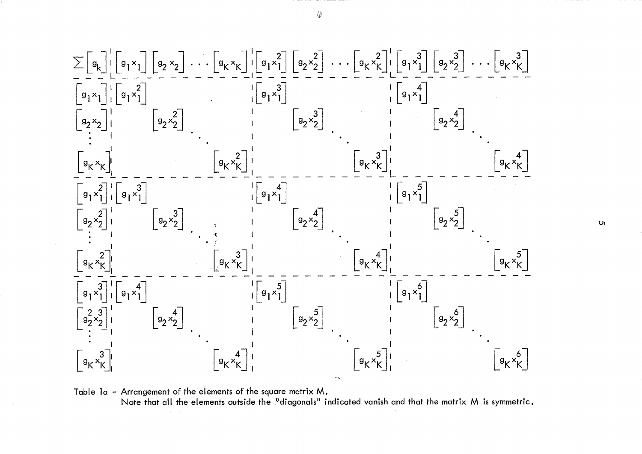

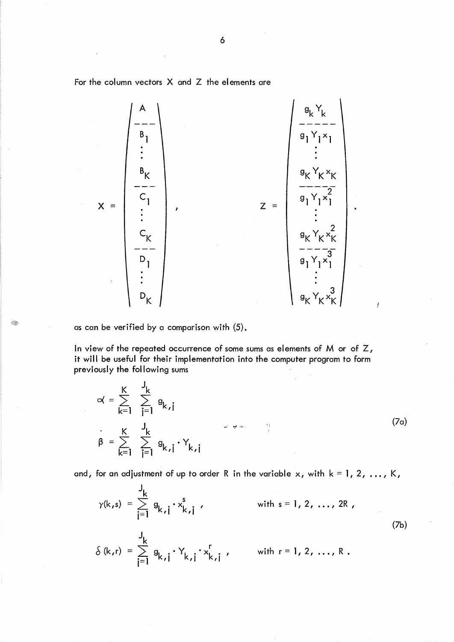For the column vectors X and Z the elements are

A  $X = \begin{bmatrix} 1 & 1 \\ 1 & 1 \end{bmatrix}$ ,  $Z =$  $\mathsf{^g \mathsf{K}}$   $\mathsf{^y \mathsf{K}}$   $\mathsf{^x \mathsf{K}}$  $\frac{1}{2}$  $g_1Y_1x_1$ 2  $\mathsf{^g \mathsf{K}}$   $\mathsf{^y \mathsf{K}}$   $\mathsf{^x \mathsf{K}}$  $----7$  $g_1Y_1x_1$ 

as can be verified by a comparison with (5).

In view of the repeated occurrence of some sums as elements of  $M$  or of  $Z$ , it will be useful for their implementation into the computer program to form previously the following sums

$$
\alpha = \sum_{k=1}^{K} \sum_{j=1}^{J_k} g_{k,j}
$$
\n
$$
\beta = \sum_{k=1}^{K} \sum_{j=1}^{J_k} g_{k,j} \cdot Y_{k,j}
$$
\n(7a)

and, for an adjustment of up to order R in the variable x, with  $k = 1, 2, ..., K$ ,

$$
\gamma(k,s) = \sum_{i=1}^{J_k} g_{k,i} \cdot x_{k,i}^s
$$
 with  $s = 1, 2, ..., 2R$ ,  
\n
$$
\delta(k,r) = \sum_{i=1}^{J_k} g_{k,i} \cdot Y_{k,i} \cdot x_{k,i}^r
$$
 with  $r = 1, 2, ..., R$ . (7b)

Œ.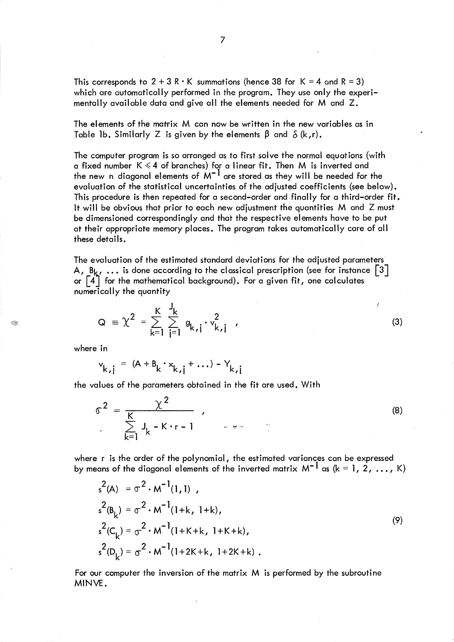This corresponds to  $2 + 3 R \cdot K$  summations (hence 38 for  $K = 4$  and  $R = 3$ ) which are automatically performed in the program. They use only the experimentally available data and give all the elements needed for M and Z.

The elements of the matrix M can now be written in the new variables as in Table 1b. Similarly Z is given by the elements  $\beta$  and  $\delta$  (k,r).

The computer program is so arranged as to first solve the normal equations (with a fixed number  $K \le 4$  of branches) for a linear fit. Then M is inverted and the new n diagonal elements of  $M^{-1}$  are stored as they will be needed for the evaluation of the statistical uncertainties of the adjusted coefficients (see below). This procedure is then repeated for a second-order and finally for a third-order fit. It will be obvious that prior to each new adjustment the quantities M and Z must be dimensioned correspondingly and that the respective elements have to be put at their appropriate memory places. The program takes automatically care of all these details.

The evaluation of the estimated standard deviations for the adjusted parameters A, B<sub>k</sub>, ... is done according to the classical prescription (see for instance  $\lceil 3 \rceil$ or  $\lceil 4 \rceil$  for the mathematical background). For a given fit, one calculates numerically the quantity

$$
Q = \chi^{2} = \sum_{k=1}^{K} \sum_{j=1}^{J_{k}} g_{k,j} \cdot v_{k,j}^{2}
$$

where in

$$
v_{k,j} = (A + B_k \cdot x_{k,j} + ...) - Y_{k,j}
$$

the values of the parameters obtained in the fit are used. With

$$
\sigma^{2} = \frac{\chi^{2}}{\sum_{k=1}^{K} J_{k} - K \cdot r - 1}
$$
 (8)

(3)

ť

where r is the order of the polynomial, the estimated variances can be expressed by means of the diagonal elements of the inverted matrix  $M^{-1}$  as (k = 1, 2, ..., K)

$$
s^{2}(A) = \sigma^{2} \cdot M^{-1}(1,1)
$$
  
\n
$$
s^{2}(B_{k}) = \sigma^{2} \cdot M^{-1}(1+k, 1+k),
$$
  
\n
$$
s^{2}(C_{k}) = \sigma^{2} \cdot M^{-1}(1+K+k, 1+K+k),
$$
  
\n
$$
s^{2}(D_{k}) = \sigma^{2} \cdot M^{-1}(1+2K+k, 1+2K+k).
$$
\n(9)

For our computer the inversion of the matrix M is performed by the subroutine MINVE.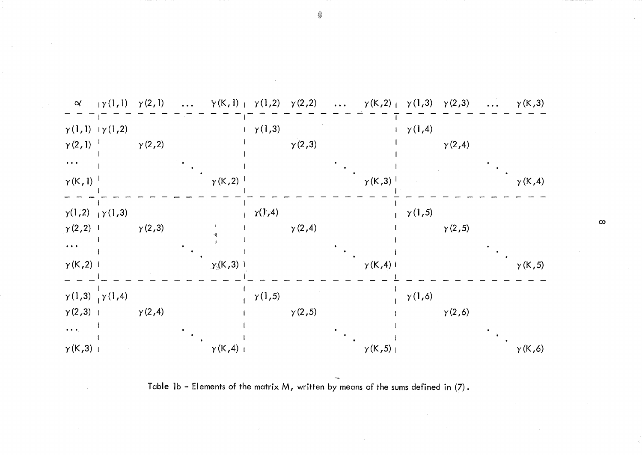

Table **1b -** Elements of the matrix M, written by means of the sums defined in (7).

 $\infty$ 

\$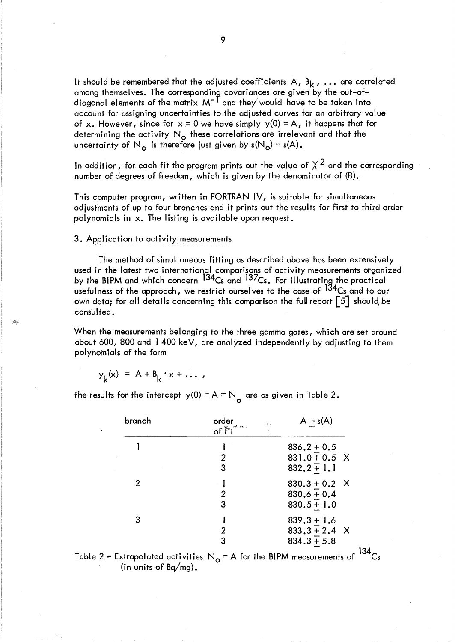It should be remembered that the adjusted coefficients A,  $B_k$ , ... are correlated among themselves. The corresponding covariances are given by the out-of-<br>diagonal elements of the matrix M<sup>-1</sup> and they would have to be taken into account for assigning uncertainties to the adjusted curves for an arbitrary value of x. However, since for  $x = 0$  we have simply  $y(0) = A$ , it happens that for determining the activity  $N_{o}$  these correlations are irrelevant and that the uncertainty of N<sub>o</sub> is therefore just given by  $s(N_0) = s(A)$ .

In addition, for each fit the program prints out the value of  $\chi^2$  and the corresponding number of degrees of freedom, which is given by the denominator of (8).

This computer program, written in FORTRAN IV, is suitable for simultaneous adjustments of up to four branches and it prints out the results for first to third order polynomials in x. The listing is available upon request.

#### 3. Application to activity measurements

The method of simultaneous fitting as described above has been extensively used in the latest two international comparisons of activity measurements organized by the BIPM and which concern <sup>134</sup>Cs and <sup>137</sup>Cs. For illustrating the practical usefulness of the approach, we restrict ourselves to the case of 134Cs and to our own data; for all details concerning this comparison the full report  $\lceil 5 \rceil$  should, be consulted.

When the measurements belonging to the three gamma gates, which are set around about 600, 800 and 1 400 keV, are analyzed independently by adjusting to them polynomials of the form

$$
y_k(x) = A + B_k \cdot x + \dots,
$$

: R

the results for the intercept  $y(0) = A = N$  are as given in Table 2.

| branch | order<br>of $\tilde{f}$ it <sup>"</sup> | $A + s(A)$<br>$\theta$ ). |
|--------|-----------------------------------------|---------------------------|
|        |                                         | $836.2 + 0.5$             |
|        | 2                                       | $831.0 + 0.5$ X           |
|        | 3                                       | $832.2 + 1.1$             |
| 2      |                                         | $830.3 + 0.2$ X           |
|        | $\overline{2}$                          | $830.6 + 0.4$             |
|        | 3                                       | $830.5 + 1.0$             |
| 3      |                                         | $839.3 + 1.6$             |
|        | 2                                       | $833.3 + 2.4$ X           |
|        | 3                                       | $834.3 + 5.8$             |

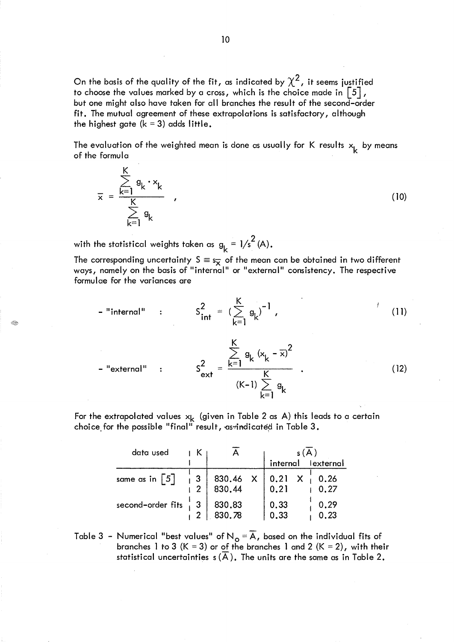On the basis of the quality of the fit, as indicated by  $\chi^2$ , it seems justified to choose the values marked by a cross, which is the choice made in  $\lceil 5 \rceil$ , but one might also have taken for all branches the result of the second-order fit. The mutual agreement of these extrapolations is satisfactory, although the highest gate  $(k = 3)$  adds little.

The evaluation of the weighted mean is done as usually for K results  $x_{\mathbf{k}}^{\phantom{\dag}}$  by means<br>of the formula of the formula

$$
\overline{x} = \frac{\sum_{k=1}^{K} g_k \cdot x_k}{\sum_{k=1}^{K} g_k},
$$
\n(10)

with the statistical weights taken as  $g_k = 1/s^2(A)$ .

Ő,

The corresponding uncertainty  $S \equiv s_{\overline{x}}$  of the mean can be obtained in two different ways, namely on the basis of "internal" or "external" consistency. The respective formulae for the variances are

 $\mathbf{z}$ 

- "internal" : 
$$
S_{int}^{2} = (\sum_{k=1}^{K} g_{k})^{-1}
$$
,  
- "external" :  $S_{ext}^{2} = \frac{\sum_{k=1}^{K} g_{k} (x_{k} - \overline{x})^{2}}{(K-1) \sum g_{k}}$ . (12)

k=l

For the extrapolated values  ${\sf x}_{\sf k}$  (given in Table 2 as A) this leads to a certain choice for the possible "final" result, as indicated in Table  $3$ .

| data used                         |                 |                  |              |                    |              |  |
|-----------------------------------|-----------------|------------------|--------------|--------------------|--------------|--|
|                                   |                 |                  |              | internal lexternal |              |  |
| same as in $\lceil 5 \rceil$      | $\sqrt{3}$<br>2 | 830.46<br>830.44 | $\mathbf{X}$ | 0.21 X<br>0.21     | 0.26<br>0.27 |  |
| second-order fits $\frac{1}{1}$ 3 |                 | 830.83<br>830.78 |              | $0.33$<br>$0.33$   | 0.29<br>0.23 |  |

Table 3 - Numerical "best values" of N<sub>o</sub> = A, based on the individual fits of branches 1 to 3 (K = 3) or of the branches 1 and 2 (K = 2), with their statistical uncertainties  $s(\overline{A})$ . The units are the same as in Table 2.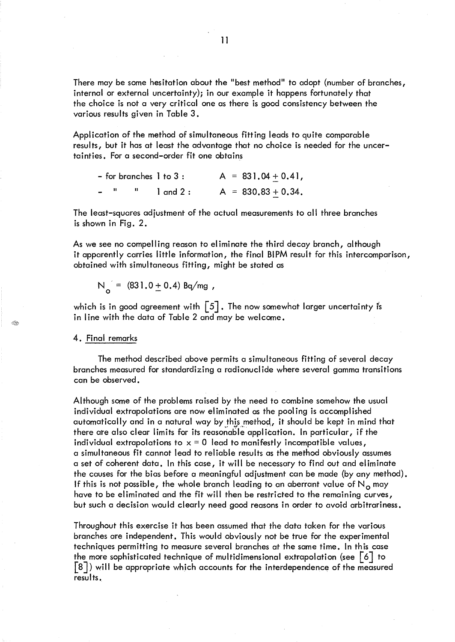There may be some hesitation about the "best method" to adopt (number of branches, internal or external uncertainty); in our example it happens fortunately that the choice is not a very critical one as there is good consistency between the various results given in Table 3.

Application of the method of simultaneous fitting leads to quite comparable results, but it has at least the advantage that no choice is needed for the uncertainties. For a second-order fit one obtains

|        |  | - for branches 1 to 3 : |  | $A = 831.04 + 0.41,$  |
|--------|--|-------------------------|--|-----------------------|
| $\sim$ |  | $1$ and $2:$            |  | $A = 830.83 + 0.34$ . |

The least-squares adjustment of the actual measurements to all three branches is shown in Fig. 2.

As we see no compell ing reason to el iminate the third decay branch, although it apparently carries little information, the final BIPM result for this intercomparison, obtained with simultaneous fitting, might be stated as

$$
N_o = (831.0 \pm 0.4) Bq/mg,
$$

which is in good agreement with  $\lceil 5 \rceil$ . The now somewhat larger uncertainty is in line with the data of Table 2 and may be welcome.

#### 4. Final remarks

The method described above permits a simultaneous fitting of several decay branches measured for standardizing a radionucl ide where several gamma transitions can be observed.

Although some of the problems raised by the need to combine somehow the usual individual extrapolations are now el im inated as the pool ing is accomplished automatically and in a natural way by this method, it should be kept in mind that there are also clear limits for its reasonable application. In particular, if the individual extrapolations to  $x = 0$  lead to manifestly incompatible values, a simultaneous fit cannot lead to reliable results as the method obviously assumes a set of coherent data. In this case, it will be necessary to find out and eliminate the causes for the bias before a meaningful adjustment can be made (by any method). If this is not possible, the whole branch leading to an aberrant value of  $N<sub>o</sub>$  may have to be eliminated and the fit will then be restricted to the remaining curves, but such a decision would clearly need good reasons in order to avoid arbitrariness.

Throughout this exercise it has been assumed that the data taken for the various branches are independent. This would obviously not be true for the experimental techniques permitting to measure several branches at the same time. In this case the more sophisticated technique of multidimensional extrapolation (see  $\lceil 6 \rceil$  to [8J) will be appropriate which accounts for the interdependence of the measured results.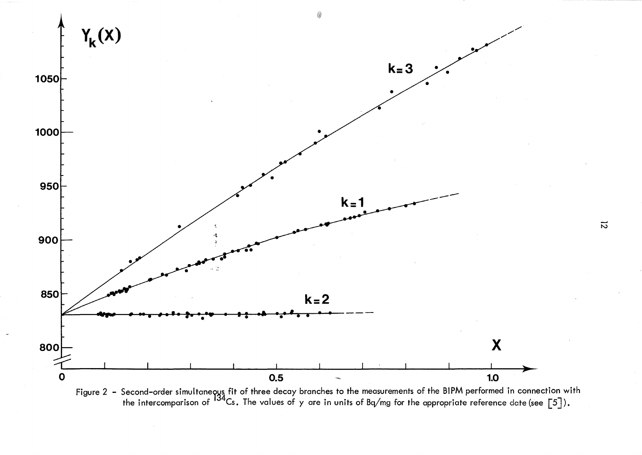

Figure 2 – Second-order simultaneoys fit of three decay branches to the measurements of the BIPM performed in connection with the intercomparison of  $^{134}$ Cs. The values of y are in units of Bq/mg for the appropriate reference date (see  $\lceil 5 \rceil$ ).

 $\overline{\mathcal{N}}$